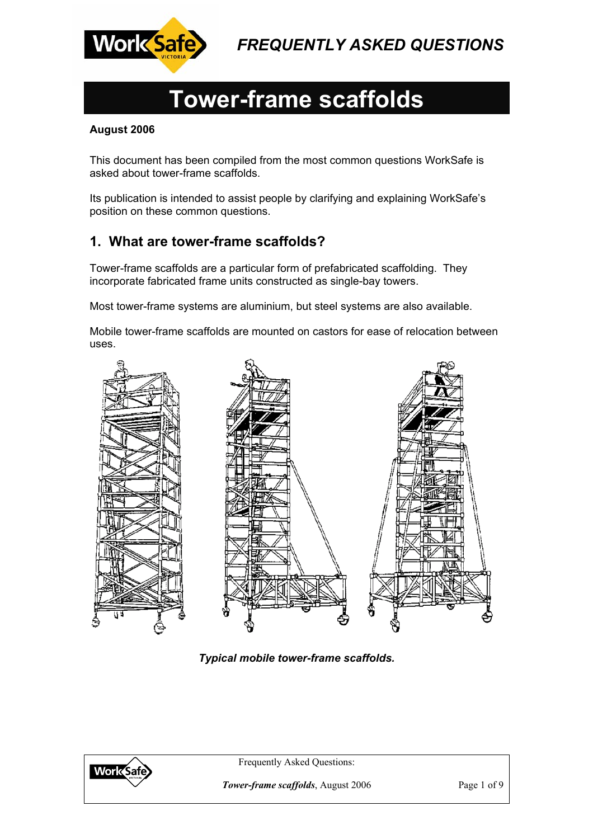

# **Tower-frame scaffolds**

#### **August 2006**

This document has been compiled from the most common questions WorkSafe is asked about tower-frame scaffolds.

Its publication is intended to assist people by clarifying and explaining WorkSafe's position on these common questions.

# **1. What are tower-frame scaffolds?**

Tower-frame scaffolds are a particular form of prefabricated scaffolding. They incorporate fabricated frame units constructed as single-bay towers.

Most tower-frame systems are aluminium, but steel systems are also available.

Mobile tower-frame scaffolds are mounted on castors for ease of relocation between uses.



*Typical mobile tower-frame scaffolds.* 



Frequently Asked Questions: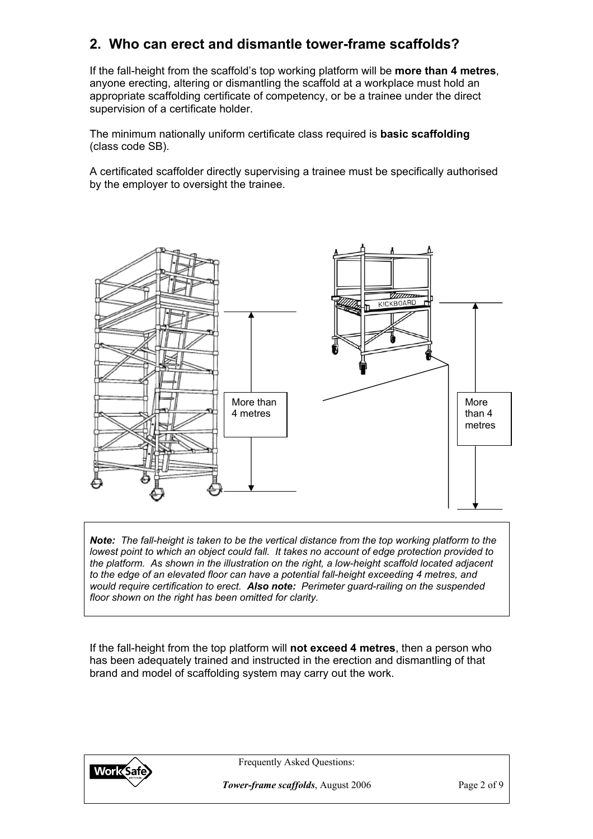# **2. Who can erect and dismantle tower-frame scaffolds?**

If the fall-height from the scaffold's top working platform will be **more than 4 metres**, anyone erecting, altering or dismantling the scaffold at a workplace must hold an appropriate scaffolding certificate of competency, or be a trainee under the direct supervision of a certificate holder.

The minimum nationally uniform certificate class required is **basic scaffolding**  (class code SB).

A certificated scaffolder directly supervising a trainee must be specifically authorised by the employer to oversight the trainee.



*Note: The fall-height is taken to be the vertical distance from the top working platform to the lowest point to which an object could fall. It takes no account of edge protection provided to the platform. As shown in the illustration on the right, a low-height scaffold located adjacent to the edge of an elevated floor can have a potential fall-height exceeding 4 metres, and would require certification to erect. Also note: Perimeter guard-railing on the suspended floor shown on the right has been omitted for clarity.* 

If the fall-height from the top platform will **not exceed 4 metres**, then a person who has been adequately trained and instructed in the erection and dismantling of that brand and model of scaffolding system may carry out the work.



Frequently Asked Questions:

**Tower-frame scaffolds**, August 2006 Page 2 of 9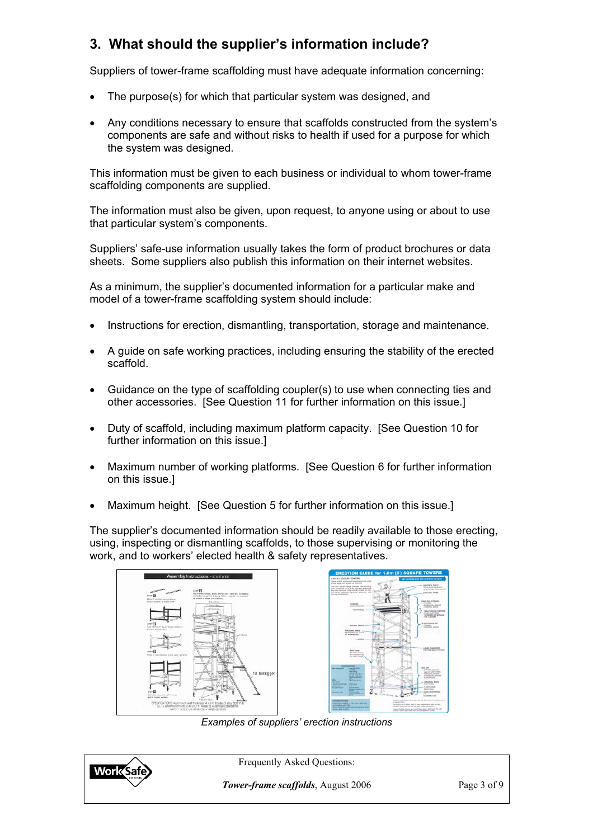# **3. What should the supplier's information include?**

Suppliers of tower-frame scaffolding must have adequate information concerning:

- The purpose(s) for which that particular system was designed, and
- Any conditions necessary to ensure that scaffolds constructed from the system's components are safe and without risks to health if used for a purpose for which the system was designed.

This information must be given to each business or individual to whom tower-frame scaffolding components are supplied.

The information must also be given, upon request, to anyone using or about to use that particular system's components.

Suppliers' safe-use information usually takes the form of product brochures or data sheets. Some suppliers also publish this information on their internet websites.

As a minimum, the supplier's documented information for a particular make and model of a tower-frame scaffolding system should include:

- Instructions for erection, dismantling, transportation, storage and maintenance.
- A guide on safe working practices, including ensuring the stability of the erected scaffold.
- Guidance on the type of scaffolding coupler(s) to use when connecting ties and other accessories. [See Question 11 for further information on this issue.]
- Duty of scaffold, including maximum platform capacity. [See Question 10 for further information on this issue.]
- Maximum number of working platforms. [See Question 6 for further information on this issue.]
- Maximum height. [See Question 5 for further information on this issue.]

The supplier's documented information should be readily available to those erecting, using, inspecting or dismantling scaffolds, to those supervising or monitoring the work, and to workers' elected health & safety representatives.



*Examples of suppliers' erection instructions* 

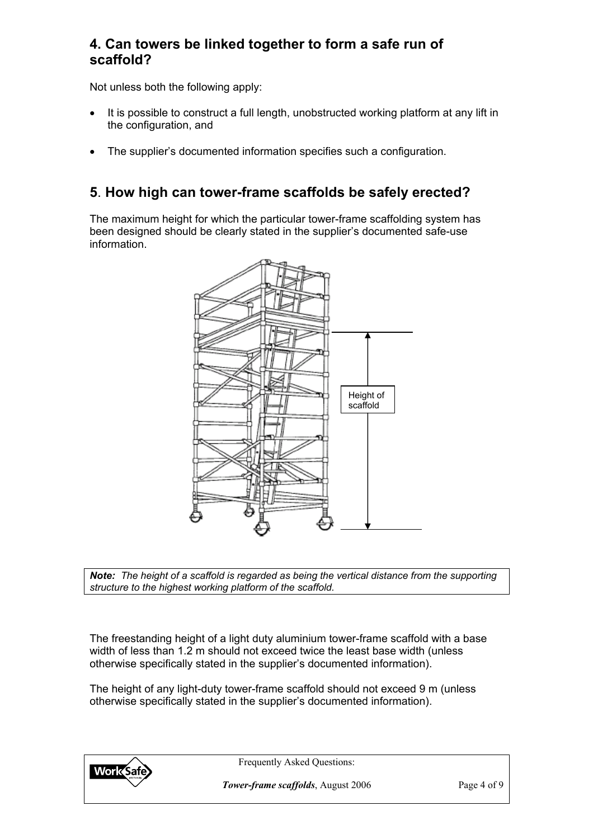# **4. Can towers be linked together to form a safe run of scaffold?**

Not unless both the following apply:

- It is possible to construct a full length, unobstructed working platform at any lift in the configuration, and
- The supplier's documented information specifies such a configuration.

# **5**. **How high can tower-frame scaffolds be safely erected?**

The maximum height for which the particular tower-frame scaffolding system has been designed should be clearly stated in the supplier's documented safe-use information.



*Note: The height of a scaffold is regarded as being the vertical distance from the supporting structure to the highest working platform of the scaffold.* 

The freestanding height of a light duty aluminium tower-frame scaffold with a base width of less than 1.2 m should not exceed twice the least base width (unless otherwise specifically stated in the supplier's documented information).

The height of any light-duty tower-frame scaffold should not exceed 9 m (unless otherwise specifically stated in the supplier's documented information).



Frequently Asked Questions:

**Tower-frame scaffolds**, August 2006 Page 4 of 9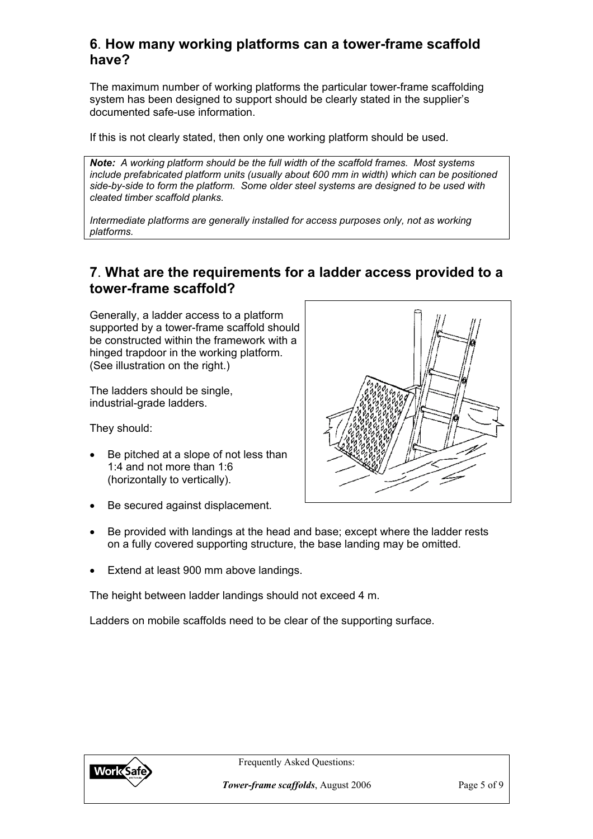#### **6**. **How many working platforms can a tower-frame scaffold have?**

The maximum number of working platforms the particular tower-frame scaffolding system has been designed to support should be clearly stated in the supplier's documented safe-use information.

If this is not clearly stated, then only one working platform should be used.

*Note: A working platform should be the full width of the scaffold frames. Most systems include prefabricated platform units (usually about 600 mm in width) which can be positioned side-by-side to form the platform. Some older steel systems are designed to be used with cleated timber scaffold planks.* 

*Intermediate platforms are generally installed for access purposes only, not as working platforms.* 

#### **7**. **What are the requirements for a ladder access provided to a tower-frame scaffold?**

Generally, a ladder access to a platform supported by a tower-frame scaffold should be constructed within the framework with a hinged trapdoor in the working platform. (See illustration on the right.)

The ladders should be single, industrial-grade ladders.

They should:

Be pitched at a slope of not less than 1:4 and not more than 1:6 (horizontally to vertically).



- Be secured against displacement.
- Be provided with landings at the head and base; except where the ladder rests on a fully covered supporting structure, the base landing may be omitted.
- Extend at least 900 mm above landings.

The height between ladder landings should not exceed 4 m.

Ladders on mobile scaffolds need to be clear of the supporting surface.

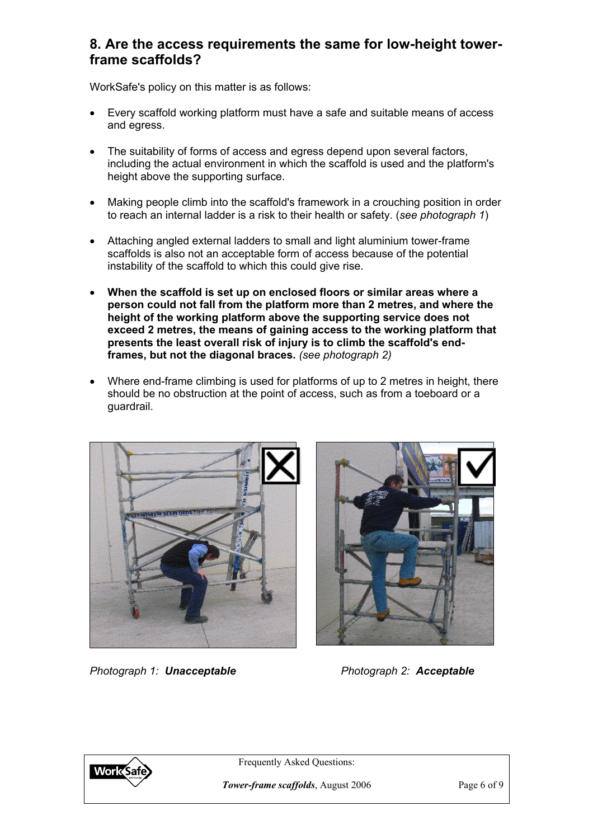# **8. Are the access requirements the same for low-height towerframe scaffolds?**

WorkSafe's policy on this matter is as follows:

- Every scaffold working platform must have a safe and suitable means of access and egress.
- The suitability of forms of access and egress depend upon several factors, including the actual environment in which the scaffold is used and the platform's height above the supporting surface.
- Making people climb into the scaffold's framework in a crouching position in order to reach an internal ladder is a risk to their health or safety. (*see photograph 1*)
- Attaching angled external ladders to small and light aluminium tower-frame scaffolds is also not an acceptable form of access because of the potential instability of the scaffold to which this could give rise.
- x **When the scaffold is set up on enclosed floors or similar areas where a person could not fall from the platform more than 2 metres, and where the height of the working platform above the supporting service does not exceed 2 metres, the means of gaining access to the working platform that presents the least overall risk of injury is to climb the scaffold's endframes, but not the diagonal braces.** *(see photograph 2)*
- Where end-frame climbing is used for platforms of up to 2 metres in height, there should be no obstruction at the point of access, such as from a toeboard or a guardrail.





*Photograph 1: Unacceptable Photograph 2: Acceptable*



Frequently Asked Questions:

**Tower-frame scaffolds**, August 2006 Page 6 of 9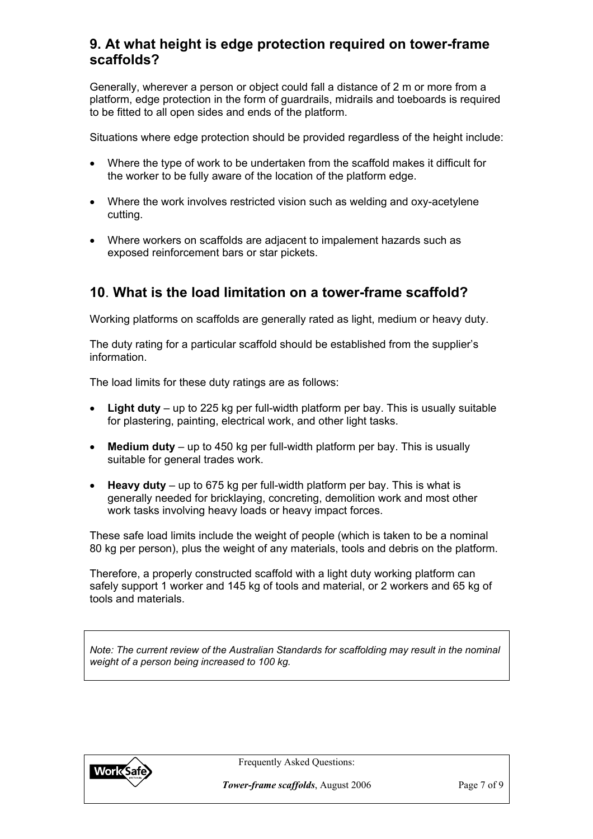# **9. At what height is edge protection required on tower-frame scaffolds?**

Generally, wherever a person or object could fall a distance of 2 m or more from a platform, edge protection in the form of guardrails, midrails and toeboards is required to be fitted to all open sides and ends of the platform.

Situations where edge protection should be provided regardless of the height include:

- Where the type of work to be undertaken from the scaffold makes it difficult for the worker to be fully aware of the location of the platform edge.
- Where the work involves restricted vision such as welding and oxy-acetylene cutting.
- Where workers on scaffolds are adjacent to impalement hazards such as exposed reinforcement bars or star pickets.

#### **10**. **What is the load limitation on a tower-frame scaffold?**

Working platforms on scaffolds are generally rated as light, medium or heavy duty.

The duty rating for a particular scaffold should be established from the supplier's information.

The load limits for these duty ratings are as follows:

- Light duty up to 225 kg per full-width platform per bay. This is usually suitable for plastering, painting, electrical work, and other light tasks.
- x **Medium duty** up to 450 kg per full-width platform per bay. This is usually suitable for general trades work.
- **EXECT** Heavy duty up to 675 kg per full-width platform per bay. This is what is generally needed for bricklaying, concreting, demolition work and most other work tasks involving heavy loads or heavy impact forces.

These safe load limits include the weight of people (which is taken to be a nominal 80 kg per person), plus the weight of any materials, tools and debris on the platform.

Therefore, a properly constructed scaffold with a light duty working platform can safely support 1 worker and 145 kg of tools and material, or 2 workers and 65 kg of tools and materials.

*Note: The current review of the Australian Standards for scaffolding may result in the nominal weight of a person being increased to 100 kg.* 



Frequently Asked Questions:

**Tower-frame scaffolds**, August 2006 Page 7 of 9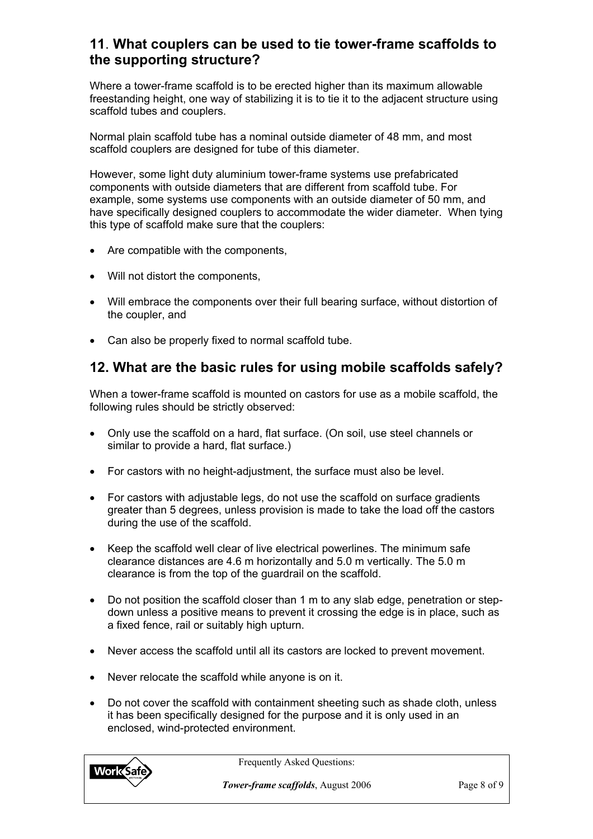# **11**. **What couplers can be used to tie tower-frame scaffolds to the supporting structure?**

Where a tower-frame scaffold is to be erected higher than its maximum allowable freestanding height, one way of stabilizing it is to tie it to the adjacent structure using scaffold tubes and couplers.

Normal plain scaffold tube has a nominal outside diameter of 48 mm, and most scaffold couplers are designed for tube of this diameter.

However, some light duty aluminium tower-frame systems use prefabricated components with outside diameters that are different from scaffold tube. For example, some systems use components with an outside diameter of 50 mm, and have specifically designed couplers to accommodate the wider diameter. When tying this type of scaffold make sure that the couplers:

- Are compatible with the components,
- $\bullet$  Will not distort the components,
- Will embrace the components over their full bearing surface, without distortion of the coupler, and
- Can also be properly fixed to normal scaffold tube.

#### **12. What are the basic rules for using mobile scaffolds safely?**

When a tower-frame scaffold is mounted on castors for use as a mobile scaffold, the following rules should be strictly observed:

- Only use the scaffold on a hard, flat surface. (On soil, use steel channels or similar to provide a hard, flat surface.)
- For castors with no height-adjustment, the surface must also be level.
- For castors with adjustable legs, do not use the scaffold on surface gradients greater than 5 degrees, unless provision is made to take the load off the castors during the use of the scaffold.
- x Keep the scaffold well clear of live electrical powerlines. The minimum safe clearance distances are 4.6 m horizontally and 5.0 m vertically. The 5.0 m clearance is from the top of the guardrail on the scaffold.
- Do not position the scaffold closer than 1 m to any slab edge, penetration or stepdown unless a positive means to prevent it crossing the edge is in place, such as a fixed fence, rail or suitably high upturn.
- Never access the scaffold until all its castors are locked to prevent movement.
- Never relocate the scaffold while anyone is on it.
- Do not cover the scaffold with containment sheeting such as shade cloth, unless it has been specifically designed for the purpose and it is only used in an enclosed, wind-protected environment.



Frequently Asked Questions:

**Tower-frame scaffolds**, August 2006 Page 8 of 9